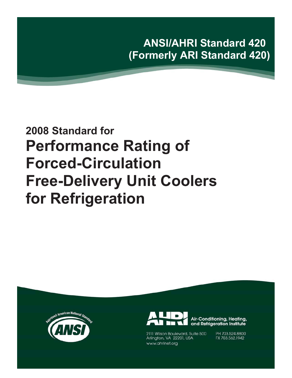**ANSI/AHRI Standard 420 (Formerly ARI Standard 420)**

# **2008 Standard for Performance Rating of Forced-Circulation Free-Delivery Unit Coolers for Refrigeration**





Air-Conditioning, Heating, and Refrigeration Institute

2111 Wilson Boulevard, Suite 500 Arlington, VA 22201, USA www.ahrinet.org

PH 703.524.8800 FX 703.562.1942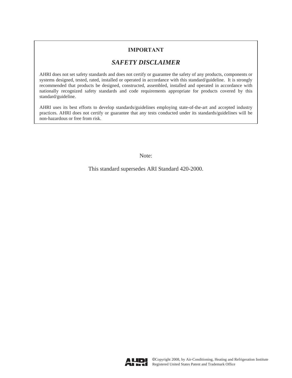### **IMPORTANT**

## *SAFETY DISCLAIMER*

AHRI does not set safety standards and does not certify or guarantee the safety of any products, components or systems designed, tested, rated, installed or operated in accordance with this standard/guideline. It is strongly recommended that products be designed, constructed, assembled, installed and operated in accordance with nationally recognized safety standards and code requirements appropriate for products covered by this standard/guideline.

AHRI uses its best efforts to develop standards/guidelines employing state-of-the-art and accepted industry practices. AHRI does not certify or guarantee that any tests conducted under its standards/guidelines will be non-hazardous or free from risk.

Note:

This standard supersedes ARI Standard 420-2000.

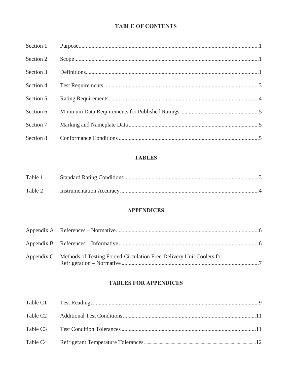### **TABLE OF CONTENTS**

| Section 1 |                                                                                                          |  |
|-----------|----------------------------------------------------------------------------------------------------------|--|
| Section 2 | $\textbf{Scope}.\textcolor{red}{\textbf{1}} \textcolor{white}{\textbf{1}} \textcolor{white}{\textbf{1}}$ |  |
| Section 3 |                                                                                                          |  |
| Section 4 |                                                                                                          |  |
| Section 5 |                                                                                                          |  |
| Section 6 |                                                                                                          |  |
| Section 7 |                                                                                                          |  |
| Section 8 |                                                                                                          |  |

# **TABLES**

| Table 1 |  |
|---------|--|
| Table 2 |  |

### **APPENDICES**

| Appendix C Methods of Testing Forced-Circulation Free-Delivery Unit Coolers for |  |
|---------------------------------------------------------------------------------|--|

# **TABLES FOR APPENDICES**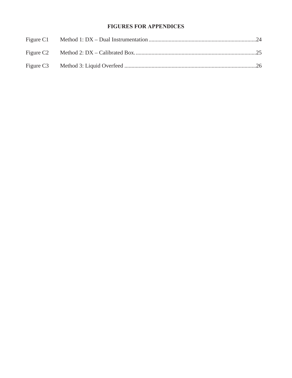### **FIGURES FOR APPENDICES**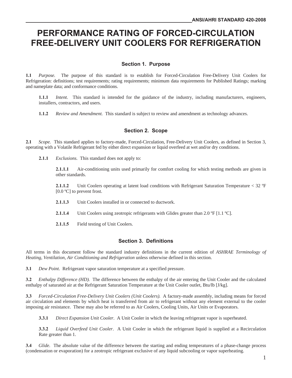# **PERFORMANCE RATING OF FORCED-CIRCULATION FREE-DELIVERY UNIT COOLERS FOR REFRIGERATION**

### **Section 1. Purpose**

**1.1** *Purpose.* The purpose of this standard is to establish for Forced-Circulation Free-Delivery Unit Coolers for Refrigeration: definitions; test requirements; rating requirements; minimum data requirements for Published Ratings; marking and nameplate data; and conformance conditions.

**1.1.1** *Intent.* This standard is intended for the guidance of the industry, including manufacturers, engineers, installers, contractors, and users.

**1.1.2** *Review and Amendment.* This standard is subject to review and amendment as technology advances.

### **Section 2. Scope**

**2.1** *Scope.* This standard applies to factory-made, Forced-Circulation, Free-Delivery Unit Coolers, as defined in Section 3, operating with a Volatile Refrigerant fed by either direct expansion or liquid overfeed at wet and/or dry conditions.

**2.1.1** *Exclusions.* This standard does not apply to:

**2.1.1.1** Air-conditioning units used primarily for comfort cooling for which testing methods are given in other standards.

**2.1.1.2** Unit Coolers operating at latent load conditions with Refrigerant Saturation Temperature < 32 ºF  $[0.0 \text{ °C}]$  to prevent frost.

- 2.1.1.3 Unit Coolers installed in or connected to ductwork.
- **2.1.1.4** Unit Coolers using zeotropic refrigerants with Glides greater than 2.0 °F [1.1 °C].
- **2.1.1.5** Field testing of Unit Coolers.

### **Section 3. Definitions**

All terms in this document follow the standard industry definitions in the current edition of *ASHRAE Terminology of Heating, Ventilation, Air Conditioning and Refrigeration* unless otherwise defined in this section.

**3.1** *Dew Point*. Refrigerant vapor saturation temperature at a specified pressure.

**3.2** *Enthalpy Difference (HD).* The difference between the enthalpy of the air entering the Unit Cooler and the calculated enthalpy of saturated air at the Refrigerant Saturation Temperature at the Unit Cooler outlet, Btu/lb [J/kg].

**3.3** *Forced-Circulation Free-Delivery Unit Coolers (Unit Coolers).* A factory-made assembly, including means for forced air circulation and elements by which heat is transferred from air to refrigerant without any element external to the cooler imposing air resistance. These may also be referred to as Air Coolers, Cooling Units, Air Units or Evaporators.

**3.3.1** *Direct Expansion Unit Cooler*. A Unit Cooler in which the leaving refrigerant vapor is superheated.

**3.3.2** *Liquid Overfeed Unit Cooler*. A Unit Cooler in which the refrigerant liquid is supplied at a Recirculation Rate greater than 1.

**3.4** *Glide.* The absolute value of the difference between the starting and ending temperatures of a phase-change process (condensation or evaporation) for a zeotropic refrigerant exclusive of any liquid subcooling or vapor superheating.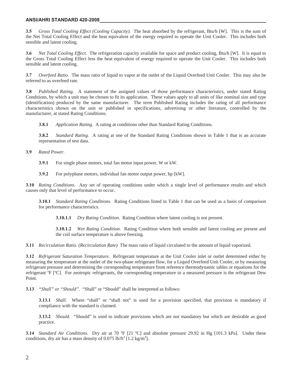### **ANSI/AHRI STANDARD 420-2008**

**3.5** *Gross Total Cooling Effect (Cooling Capacity).* The heat absorbed by the refrigerant, Btu/h [W]. This is the sum of the Net Total Cooling Effect and the heat equivalent of the energy required to operate the Unit Cooler. This includes both sensible and latent cooling.

**3.6** *Net Total Cooling Effect.* The refrigeration capacity available for space and product cooling, Btu/h [W]. It is equal to the Gross Total Cooling Effect less the heat equivalent of energy required to operate the Unit Cooler. This includes both sensible and latent cooling.

**3.7** *Overfeed Ratio*. The mass ratio of liquid to vapor at the outlet of the Liquid Overfeed Unit Cooler. This may also be referred to as overfeed rate.

**3.8** *Published Rating.* A statement of the assigned values of those performance characteristics, under stated Rating Conditions, by which a unit may be chosen to fit its application. These values apply to all units of like nominal size and type (identification) produced by the same manufacturer. The term Published Rating includes the rating of all performance characteristics shown on the unit or published in specifications, advertising or other literature, controlled by the manufacturer, at stated Rating Conditions.

**3.8.1** *Application Rating.* A rating at conditions other than Standard Rating Conditions.

**3.8.2** *Standard Rating.* A rating at one of the Standard Rating Conditions shown in Table 1 that is an accurate representation of test data.

**3.9** *Rated Power.*

**3.9.1** For single phase motors, total fan motor input power, W or kW.

**3.9.2** For polyphase motors, individual fan motor output power, hp [kW].

**3.10** *Rating Conditions.* Any set of operating conditions under which a single level of performance results and which causes only that level of performance to occur.

**3.10.1** *Standard Rating Conditions.* Rating Conditions listed in Table 1 that can be used as a basis of comparison for performance characteristics.

**3.10.1.1** *Dry Rating Condition*. Rating Condition where latent cooling is not present.

**3.10.1.2** *Wet Rating Condition*. Rating Condition where both sensible and latent cooling are present and the coil surface temperature is above freezing.

**3.11** *Recirculation Ratio*. *(Recirculation Rate)* The mass ratio of liquid circulated to the amount of liquid vaporized.

**3.12** *Refrigerant Saturation Temperature.* Refrigerant temperature at the Unit Cooler inlet or outlet determined either by measuring the temperature at the outlet of the two-phase refrigerant flow, for a Liquid Overfeed Unit Cooler, or by measuring refrigerant pressure and determining the corresponding temperature from reference thermodynamic tables or equations for the refrigerant ºF [ºC]. For zeotropic refrigerants, the corresponding temperature to a measured pressure is the refrigerant Dew Point.

**3.13** *"Shall" or "Should".* "Shall" or "Should" shall be interpreted as follows:

**3.13.1** *Shall*. Where "shall" or "shall not" is used for a provision specified, that provision is mandatory if compliance with the standard is claimed.

**3.13.2** *Should.* "Should" is used to indicate provisions which are not mandatory but which are desirable as good practice.

**3.14** *Standard Air Conditions.* Dry air at 70 ºF [21 ºC] and absolute pressure 29.92 in Hg [101.3 kPa]. Under these conditions, dry air has a mass density of 0.075 lb/ft<sup>3</sup> [1.2 kg/m<sup>3</sup>].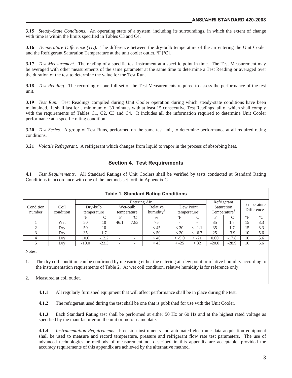**3.15** *Steady-State Conditions*. An operating state of a system, including its surroundings, in which the extent of change with time is within the limits specified in Tables C3 and C4.

**3.16** *Temperature Difference (TD)*. The difference between the dry-bulb temperature of the air entering the Unit Cooler and the Refrigerant Saturation Temperature at the unit cooler outlet, ºF [ºC].

**3.17** *Test Measurement.* The reading of a specific test instrument at a specific point in time. The Test Measurement may be averaged with other measurements of the same parameter at the same time to determine a Test Reading or averaged over the duration of the test to determine the value for the Test Run.

**3.18** *Test Reading.* The recording of one full set of the Test Measurements required to assess the performance of the test unit.

**3.19** *Test Run.* Test Readings compiled during Unit Cooler operation during which steady-state conditions have been maintained. It shall last for a minimum of 30 minutes with at least 15 consecutive Test Readings, all of which shall comply with the requirements of Tables C1, C2, C3 and C4. It includes all the information required to determine Unit Cooler performance at a specific rating condition.

**3.20** *Test Series.* A group of Test Runs, performed on the same test unit, to determine performance at all required rating conditions.

**3.21** *Volatile Refrigerant.* A refrigerant which changes from liquid to vapor in the process of absorbing heat.

### **Section 4. Test Requirements**

**4.1** *Test Requirements*. All Standard Ratings of Unit Coolers shall be verified by tests conducted at Standard Rating Conditions in accordance with one of the methods set forth in Appendix C.

| <b>Table 1. Standard Rating Conditions</b> |                              |              |             |                          |              |                       |                          |                           |                          |             |              |             |
|--------------------------------------------|------------------------------|--------------|-------------|--------------------------|--------------|-----------------------|--------------------------|---------------------------|--------------------------|-------------|--------------|-------------|
|                                            |                              |              |             |                          | Entering Air |                       |                          |                           | Refrigerant              |             |              |             |
| Condition                                  | Coil<br>Dry-bulb<br>Wet-bulb |              | Relative    | Dew Point                |              | Saturation            |                          | Temperature<br>Difference |                          |             |              |             |
| number                                     | condition                    | temperature  |             | temperature              |              | humidity <sup>1</sup> | temperature <sup>1</sup> |                           | Temperature <sup>2</sup> |             |              |             |
|                                            |                              | $\mathrm{P}$ | $\rm ^{o}C$ | °F                       | $\rm ^{o}C$  | $\%$                  | $\mathrm{P}$             | $\rm ^{o}C$               | $\rm ^oF$                | $\rm ^{o}C$ | $\mathrm{P}$ | $\rm ^{o}C$ |
|                                            | Wet                          | 50           | 10          | 46.1                     | 7.83         | 75                    |                          |                           | 35                       | 1.7         | 15           | 8.3         |
|                                            | Dry                          | 50           | 10          |                          |              | < 45                  | $<$ 30                   | $\langle -1.1$            | 35                       | 1.7         | 15           | 8.3         |
|                                            | Dry                          | 35           | 1.7         | $\overline{\phantom{0}}$ |              | < 50                  | < 20                     | $<-6.7$                   | 25                       | $-3.9$      | 10           | 5.6         |
|                                            | Drv                          | 10.0         | $-12.2$     |                          |              | < 46                  | $<-5.0$                  | $\langle -21 \rangle$     | 0.00                     | $-17.8$     | 10           | 5.6         |
|                                            | Dry                          | $-10.0$      | $-23.3$     | $\overline{\phantom{0}}$ |              | < 43                  | $<-25$                   | < 32                      | $-20.0$                  | $-28.9$     | 10           | 5.6         |

Notes:

1. The dry coil condition can be confirmed by measuring either the entering air dew point or relative humidity according to the instrumentation requirements of Table 2. At wet coil condition, relative humidity is for reference only.

2. Measured at coil outlet.

**4.1.1** All regularly furnished equipment that will affect performance shall be in place during the test.

**4.1.2** The refrigerant used during the test shall be one that is published for use with the Unit Cooler.

**4.1.3** Each Standard Rating test shall be performed at either 50 Hz or 60 Hz and at the highest rated voltage as specified by the manufacturer on the unit or motor nameplate.

**4.1.4** *Instrumentation Requirements*. Precision instruments and automated electronic data acquisition equipment shall be used to measure and record temperature, pressure and refrigerant flow rate test parameters. The use of advanced technologies or methods of measurement not described in this appendix are acceptable, provided the accuracy requirements of this appendix are achieved by the alternative method.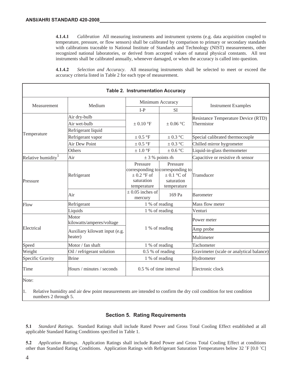**4.1.4.1** *Calibration* All measuring instruments and instrument systems (e.g. data acquisition coupled to temperature, pressure, or flow sensors) shall be calibrated by comparison to primary or secondary standards with calibrations traceable to National Institute of Standards and Technology (NIST) measurements, other recognized national laboratories, or derived from accepted values of natural physical constants. All test instruments shall be calibrated annually, whenever damaged, or when the accuracy is called into question.

**4.1.4.2** *Selection and Accuracy*. All measuring instruments shall be selected to meet or exceed the accuracy criteria listed in Table 2 for each type of measurement.

|                                |                                                                                                                    | <b>Table 2. Instrumentation Accuracy</b>                                                      |                                                          |                                          |  |
|--------------------------------|--------------------------------------------------------------------------------------------------------------------|-----------------------------------------------------------------------------------------------|----------------------------------------------------------|------------------------------------------|--|
| Measurement                    | Medium                                                                                                             | Minimum Accuracy                                                                              |                                                          | <b>Instrument Examples</b>               |  |
|                                |                                                                                                                    | $I-P$<br><b>SI</b>                                                                            |                                                          |                                          |  |
|                                | Air dry-bulb                                                                                                       |                                                                                               |                                                          | Resistance Temperature Device (RTD)      |  |
|                                | Air wet-bulb                                                                                                       | $\pm$ 0.10 °F                                                                                 | $\pm$ 0.06 °C                                            | Thermistor                               |  |
|                                | Refrigerant liquid                                                                                                 |                                                                                               |                                                          |                                          |  |
| Temperature                    | Refrigerant vapor                                                                                                  | $\pm$ 0.5 °F                                                                                  | $\pm$ 0.3 $^{\circ} \mathrm{C}$                          | Special calibrated thermocouple          |  |
|                                | Air Dew Point                                                                                                      | $\pm$ 0.5 °F                                                                                  | $\pm$ 0.3 °C                                             | Chilled mirror hygrometer                |  |
|                                | Others                                                                                                             | $\pm 1.0$ °F<br>$\pm 0.6$ °C                                                                  |                                                          | Liquid-in-glass thermometer              |  |
| Relative humidity <sup>1</sup> | Air                                                                                                                | $\pm$ 3 % points rh                                                                           |                                                          | Capacitive or resistive rh sensor        |  |
| Pressure                       | Refrigerant                                                                                                        | Pressure<br>corresponding to corresponding to<br>$\pm$ 0.2 °F of<br>saturation<br>temperature | Pressure<br>$\pm$ 0.1 °C of<br>saturation<br>temperature | Transducer                               |  |
|                                | Air                                                                                                                | $\pm$ 0.05 inches of<br>mercury                                                               | 169 Pa                                                   | <b>Barometer</b>                         |  |
| Flow                           | Refrigerant                                                                                                        | 1 % of reading                                                                                |                                                          | Mass flow meter                          |  |
|                                | Liquids                                                                                                            | 1 % of reading                                                                                |                                                          | Venturi                                  |  |
|                                | Motor<br>kilowatts/amperes/voltage                                                                                 |                                                                                               |                                                          | Power meter                              |  |
| Electrical                     | Auxiliary kilowatt input (e.g.                                                                                     | 1 % of reading                                                                                |                                                          | Amp probe                                |  |
|                                | heater)                                                                                                            |                                                                                               |                                                          | Multimeter                               |  |
| Speed                          | Motor / fan shaft                                                                                                  | 1 % of reading                                                                                |                                                          | Tachometer                               |  |
| Weight                         | Oil / refrigerant solution                                                                                         | $0.5 %$ of reading                                                                            |                                                          | Gravimeter (scale or analytical balance) |  |
| Specific Gravity               | <b>Brine</b>                                                                                                       | 1 % of reading                                                                                |                                                          | Hydrometer                               |  |
| Time                           | Hours / minutes / seconds                                                                                          | 0.5 % of time interval                                                                        |                                                          | Electronic clock                         |  |
| Note:<br>1.                    | Relative humidity and air dew point measurements are intended to confirm the dry coil condition for test condition |                                                                                               |                                                          |                                          |  |

numbers 2 through 5.

### **Section 5. Rating Requirements**

**5.1** *Standard Ratings.* Standard Ratings shall include Rated Power and Gross Total Cooling Effect established at all applicable Standard Rating Conditions specified in Table 1.

**5.2** *Application Ratings*. Application Ratings shall include Rated Power and Gross Total Cooling Effect at conditions other than Standard Rating Conditions. Application Ratings with Refrigerant Saturation Temperatures below 32 °F [0.0 °C]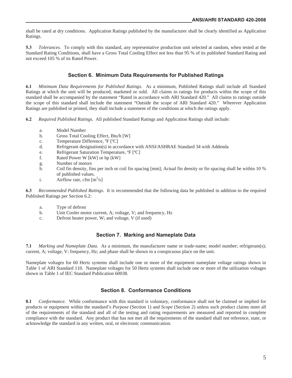shall be rated at dry conditions. Application Ratings published by the manufacturer shall be clearly identified as Application Ratings.

**5.3** *Tolerances.* To comply with this standard, any representative production unit selected at random, when tested at the Standard Rating Conditions, shall have a Gross Total Cooling Effect not less than 95 % of its published Standard Rating and not exceed 105 % of its Rated Power.

### **Section 6. Minimum Data Requirements for Published Ratings**

**6.1** *Minimum Data Requirements for Published Ratings.* As a minimum, Published Ratings shall include all Standard Ratings at which the unit will be produced, marketed or sold. All claims to ratings for products within the scope of this standard shall be accompanied by the statement "Rated in accordance with ARI Standard 420." All claims to ratings outside the scope of this standard shall include the statement "Outside the scope of ARI Standard 420." Wherever Application Ratings are published or printed, they shall include a statement of the conditions at which the ratings apply.

**6.2** *Required Published Ratings.* All published Standard Ratings and Application Ratings shall include:

- a. Model Number
- b. Gross Total Cooling Effect, Btu/h [W]
- c. Temperature Difference, ºF [ºC]
- d. Refrigerant designation(s) in accordance with ANSI/ASHRAE Standard 34 with Addenda
- e. Refrigerant Saturation Temperature, ºF [ºC]
- f. Rated Power W [kW] or hp [kW]
- g. Number of motors
- h. Coil fin density, fins per inch or coil fin spacing [mm]; Actual fin density or fin spacing shall be within 10 % of published values.
- i. Airflow rate, cfm  $[m^3/s]$

**6.3** *Recommended Published Ratings*. It is recommended that the following data be published in addition to the required Published Ratings per Section 6.2:

- a. Type of defrost
- b. Unit Cooler motor current, A; voltage, V; and frequency, Hz
- c. Defrost heater power, W; and voltage, V (if used)

### **Section 7. Marking and Nameplate Data**

**7.1** *Marking and Nameplate Data.* As a minimum, the manufacturer name or trade-name; model number; refrigerant(s); current, A; voltage, V; frequency, Hz; and phase shall be shown in a conspicuous place on the unit.

Nameplate voltages for 60 Hertz systems shall include one or more of the equipment nameplate voltage ratings shown in Table 1 of ARI Standard 110. Nameplate voltages for 50 Hertz systems shall include one or more of the utilization voltages shown in Table 1 of IEC Standard Publication 60038.

### **Section 8. Conformance Conditions**

**8.1** *Conformance.* While conformance with this standard is voluntary, conformance shall not be claimed or implied for products or equipment within the standard's *Purpose* (Section 1) and *Scope* (Section 2) unless such product claims meet all of the requirements of the standard and all of the testing and rating requirements are measured and reported in complete compliance with the standard. Any product that has not met all the requirements of the standard shall not reference, state, or acknowledge the standard in any written, oral, or electronic communication.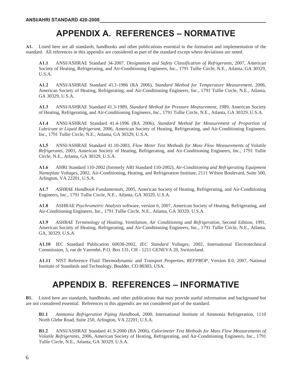# **APPENDIX A. REFERENCES – NORMATIVE**

**A1.** Listed here are all standards, handbooks and other publications essential to the formation and implementation of the standard. All references in this appendix are considered as part of the standard except where deviations are noted.

**A1.1** ANSI/ASHRAE Standard 34-2007, *Designation and Safety Classification of Refrigerants*, 2007, American Society of Heating, Refrigerating, and Air-Conditioning Engineers, Inc., 1791 Tullie Circle, N.E., Atlanta, GA 30329, U.S.A.

**A1.2** ANSI/ASHRAE Standard 41.1-1986 (RA 2006), *Standard Method for Temperature Measurement*, 2006, American Society of Heating, Refrigerating, and Air-Conditioning Engineers, Inc., 1791 Tullie Circle, N.E., Atlanta, GA 30329, U.S.A.

**A1.3** ANSI/ASHRAE Standard 41.3-1989, *Standard Method for Pressure Measurement*, 1989, American Society of Heating, Refrigerating, and Air-Conditioning Engineers, Inc., 1791 Tullie Circle, N.E., Atlanta, GA 30329, U.S.A.

**A1.4** ANSI/ASHRAE Standard 41.4-1996 (RA 2006), *Standard Method for Measurement of Proportion of Lubricant in Liquid Refrigerant*, 2006, American Society of Heating, Refrigerating, and Air-Conditioning Engineers, Inc., 1791 Tullie Circle, N.E., Atlanta, GA 30329, U.S.A.

**A1.5** ANSI/ASHRAE Standard 41.10-2003, *Flow Meter Test Methods for Mass Flow Measurements of Volatile Refrigerants*, 2003, American Society of Heating, Refrigerating, and Air-Conditioning Engineers, Inc., 1791 Tullie Circle, N.E., Atlanta, GA 30329, U.S.A.

**A1.6** AHRI Standard 110-2002 (formerly ARI Standard 110-2002), *Air-Conditioning and Refrigerating Equipment Nameplate Voltages,* 2002, Air-Conditioning, Heating, and Refrigeration Institute, 2111 Wilson Boulevard, Suite 500, Arlington, VA 22201, U.S.A.

**A1.7** *ASHRAE Handbook Fundamentals*, 2005, American Society of Heating, Refrigerating, and Air-Conditioning Engineers, Inc., 1791 Tullie Circle, N.E., Atlanta, GA 30329, U.S.A.

**A1.8** ASHRAE *Psychrometric Analysis* software, version 6, 2007, American Society of Heating, Refrigerating, and Air-Conditioning Engineers, Inc., 1791 Tullie Circle, N.E., Atlanta, GA 30329, U.S.A.

**A1.9** *ASHRAE Terminology of Heating, Ventilation, Air Conditioning and Refrigeration,* Second Edition, 1991, American Society of Heating, Refrigerating, and Air-Conditioning Engineers, Inc., 1791 Tullie Circle, N.E., Atlanta, GA, 30329, U.S.A.

**A1.10** IEC Standard Publication 60038-2002, *IEC Standard Voltages*, 2002, International Electrotechnical Commission, 3, rue de Varembé, P.O. Box 131, CH - 1211 GENEVA 20, Switzerland.

**A1.11** NIST Reference Fluid Thermodynamic and Transport Properties, *REFPROP*, Version 8.0, 2007, National Institute of Standards and Technology, Boulder, CO 80303, USA.

# **APPENDIX B. REFERENCES – INFORMATIVE**

**B1.** Listed here are standards, handbooks, and other publications that may provide useful information and background but are not considered essential. References in this appendix are not considered part of the standard.

**B1.1** *Ammonia Refrigeration Piping Handbook*, 2000, International Institute of Ammonia Refrigeration, 1110 North Glebe Road, Suite 250, Arlington, VA 22201, U.S.A.

**B1.2** ANSI/ASHRAE Standard 41.9-2000 (RA 2006), *Calorimeter Test Methods for Mass Flow Measurements of Volatile Refrigerants*, 2006, American Society of Heating, Refrigerating, and Air-Conditioning Engineers, Inc., 1791 Tullie Circle, N.E., Atlanta, GA 30329, U.S.A.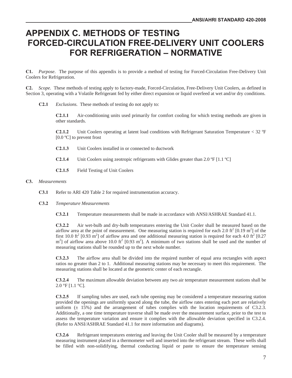# **APPENDIX C. METHODS OF TESTING FORCED-CIRCULATION FREE-DELIVERY UNIT COOLERS FOR REFRIGERATION – NORMATIVE**

**C1.** *Purpose*. The purpose of this appendix is to provide a method of testing for Forced-Circulation Free-Delivery Unit Coolers for Refrigeration.

**C2.** *Scope.* These methods of testing apply to factory-made, Forced-Circulation, Free-Delivery Unit Coolers, as defined in Section 3, operating with a Volatile Refrigerant fed by either direct expansion or liquid overfeed at wet and/or dry conditions.

**C2.1** *Exclusions.* These methods of testing do not apply to:

**C2.1.1** Air-conditioning units used primarily for comfort cooling for which testing methods are given in other standards.

**C2.1.2** Unit Coolers operating at latent load conditions with Refrigerant Saturation Temperature < 32 ºF  $[0.0 \degree C]$  to prevent frost

- **C2.1.3** Unit Coolers installed in or connected to ductwork
- **C2.1.4** Unit Coolers using zeotropic refrigerants with Glides greater than 2.0 ºF [1.1 ºC]
- **C2.1.5** Field Testing of Unit Coolers

### **C3.** *Measurements*

- **C3.1** Refer to ARI 420 Table 2 for required instrumentation accuracy.
- **C3.2** *Temperature Measurements* 
	- **C3.2.1** Temperature measurements shall be made in accordance with ANSI/ASHRAE Standard 41.1.

**C3.2.2** Air wet-bulb and dry-bulb temperatures entering the Unit Cooler shall be measured based on the airflow area at the point of measurement. One measuring station is required for each 2.0 ft<sup>2</sup> [0.19 m<sup>2</sup>] of the first 10.0 ft<sup>2</sup> [0.93 m<sup>2</sup>] of airflow area and one additional measuring station is required for each 4.0 ft<sup>2</sup> [0.27  $m<sup>2</sup>$ ] of airflow area above 10.0 ft<sup>2</sup> [0.93 m<sup>2</sup>]. A minimum of two stations shall be used and the number of measuring stations shall be rounded up to the next whole number.

**C3.2.3** The airflow area shall be divided into the required number of equal area rectangles with aspect ratios no greater than 2 to 1. Additional measuring stations may be necessary to meet this requirement. The measuring stations shall be located at the geometric center of each rectangle.

**C3.2.4** The maximum allowable deviation between any two air temperature measurement stations shall be 2.0 °F [1.1 °C].

**C3.2.5** If sampling tubes are used, each tube opening may be considered a temperature measuring station provided the openings are uniformly spaced along the tube, the airflow rates entering each port are relatively uniform  $(\pm 15\%)$  and the arrangement of tubes complies with the location requirements of C3.2.3. Additionally, a one time temperature traverse shall be made over the measurement surface, prior to the test to assess the temperature variation and ensure it complies with the allowable deviation specified in C3.2.4. (Refer to ANSI/ASHRAE Standard 41.1 for more information and diagrams).

**C3.2.6** Refrigerant temperatures entering and leaving the Unit Cooler shall be measured by a temperature measuring instrument placed in a thermometer well and inserted into the refrigerant stream. These wells shall be filled with non-solidifying, thermal conducting liquid or paste to ensure the temperature sensing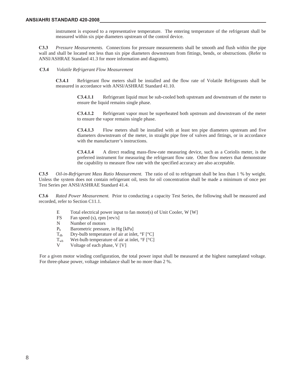instrument is exposed to a representative temperature. The entering temperature of the refrigerant shall be measured within six pipe diameters upstream of the control device.

**C3.3** *Pressure Measurements.* Connections for pressure measurements shall be smooth and flush within the pipe wall and shall be located not less than six pipe diameters downstream from fittings, bends, or obstructions. (Refer to ANSI/ASHRAE Standard 41.3 for more information and diagrams).

### **C3.4** *Volatile Refrigerant Flow Measurement*

**C3.4.1** Refrigerant flow meters shall be installed and the flow rate of Volatile Refrigerants shall be measured in accordance with ANSI/ASHRAE Standard 41.10.

**C3.4.1.1** Refrigerant liquid must be sub-cooled both upstream and downstream of the meter to ensure the liquid remains single phase.

**C3.4.1.2** Refrigerant vapor must be superheated both upstream and downstream of the meter to ensure the vapor remains single phase.

**C3.4.1.3** Flow meters shall be installed with at least ten pipe diameters upstream and five diameters downstream of the meter, in straight pipe free of valves and fittings, or in accordance with the manufacturer's instructions.

**C3.4.1.4** A direct reading mass-flow-rate measuring device, such as a Coriolis meter, is the preferred instrument for measuring the refrigerant flow rate. Other flow meters that demonstrate the capability to measure flow rate with the specified accuracy are also acceptable.

**C3.5** *Oil-in-Refrigerant Mass Ratio Measurement.* The ratio of oil to refrigerant shall be less than 1 % by weight. Unless the system does not contain refrigerant oil, tests for oil concentration shall be made a minimum of once per Test Series per ANSI/ASHRAE Standard 41.4.

**C3.6** *Rated Power Measurement.* Prior to conducting a capacity Test Series, the following shall be measured and recorded, refer to Section C11.1.

- E Total electrical power input to fan motor(s) of Unit Cooler, W [W]
- FS Fan speed (s), rpm [rev/s]
- N Number of motors
- $P<sub>b</sub>$  Barometric pressure, in Hg [kPa]
- $T_{db}$  Dry-bulb temperature of air at inlet,  ${}^{\circ}F$   ${}^{\circ}C$ ]
- $T_{wb}$  Wet-bulb temperature of air at inlet,  ${}^{\circ}F$  [ ${}^{\circ}C$ ]
- V Voltage of each phase, V [V]

For a given motor winding configuration, the total power input shall be measured at the highest nameplated voltage. For three-phase power, voltage imbalance shall be no more than 2 %.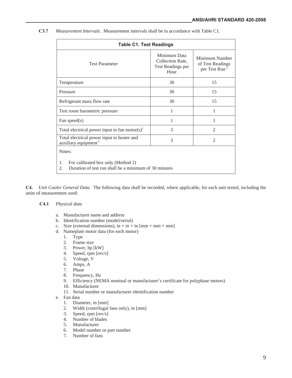| <b>Table C1. Test Readings</b>                                                                          |                                                               |                                                    |  |  |  |  |  |  |
|---------------------------------------------------------------------------------------------------------|---------------------------------------------------------------|----------------------------------------------------|--|--|--|--|--|--|
| <b>Test Parameter</b>                                                                                   | Minimum Data<br>Collection Rate,<br>Test Readings per<br>Hour | Minimum Number<br>of Test Readings<br>per Test Run |  |  |  |  |  |  |
| Temperature                                                                                             | 30                                                            | 15                                                 |  |  |  |  |  |  |
| Pressure                                                                                                | 30                                                            | 15                                                 |  |  |  |  |  |  |
| Refrigerant mass flow rate                                                                              | 30                                                            | 15                                                 |  |  |  |  |  |  |
| Test room barometric pressure                                                                           | 1                                                             | 1                                                  |  |  |  |  |  |  |
| Fan speed $(s)$                                                                                         | 1                                                             | 1                                                  |  |  |  |  |  |  |
| Total electrical power input to fan motor(s) <sup>1</sup>                                               | 3                                                             | $\overline{\mathcal{L}}$                           |  |  |  |  |  |  |
| Total electrical power input to heater and<br>auxiliary equipment <sup>1</sup>                          | 3                                                             | $\overline{2}$                                     |  |  |  |  |  |  |
| Notes:                                                                                                  |                                                               |                                                    |  |  |  |  |  |  |
| 1.<br>For calibrated box only (Method 2)<br>Duration of test run shall be a minimum of 30 minutes<br>2. |                                                               |                                                    |  |  |  |  |  |  |

**C3.7** *Measurement Intervals*. Measurement intervals shall be in accordance with Table C1.

**C4.** *Unit Cooler General Data.* The following data shall be recorded, where applicable, for each unit tested, including the units of measurement used:

### **C4.1** *Physical data*

- a. Manufacturer name and address
- b. Identification number (model/serial)
- c. Size (external dimensions), in  $\times$  in  $\times$  in  $[mm \times mm \times mm]$
- d. Nameplate motor data (for each motor)
	- 1. Type
	- 2. Frame size
	- 3. Power, hp [kW]
	- 4. Speed, rpm [rev/s]
	- 5. Voltage, V
	- 6. Amps, A
	- 7. Phase
	- 8. Frequency, Hz
	- 9. Efficiency (NEMA nominal or manufacturer's certificate for polyphase motors)
	- 10. Manufacturer
	- 11. Serial number or manufacturer identification number
- e. Fan data
	- 1. Diameter, in [mm]
	- 2. Width (centrifugal fans only), in [mm]
	- 3. Speed, rpm [rev/s]
	- 4. Number of blades
	- 5. Manufacturer
	- 6. Model number or part number
	- 7. Number of fans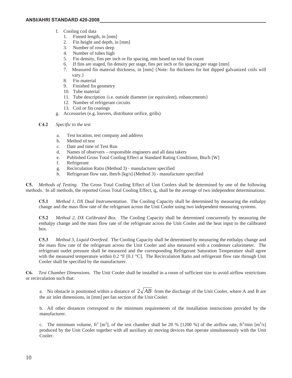- f. Cooling coil data
	- 1. Finned length, in [mm]
	- 2. Fin height and depth, in [mm]
	- 3. Number of rows deep
	- 4. Number of tubes high
	- 5. Fin density, fins per inch or fin spacing, mm based on total fin count
	- 6. If fins are staged, fin density per stage, fins per inch or fin spacing per stage [mm]
	- 7. Measured fin material thickness, in [mm] {Note: fin thickness for hot dipped galvanized coils will vary.}
	- 8. Fin material
	- 9. Finished fin geometry
	- 10. Tube material
	- 11. Tube description {i.e. outside diameter (or equivalent), enhancements}
	- 12. Number of refrigerant circuits
	- 13. Coil or fin coatings
- g. Accessories (e.g. louvers, distributor orifice, grills)

### **C4.2** *Specific to the test*

- a. Test location, test company and address
- b. Method of test
- c. Date and time of Test Run
- d. Names of observers responsible engineers and all data takers
- e. Published Gross Total Cooling Effect at Standard Rating Conditions, Btu/h [W]
- f. Refrigerant
- g. Recirculation Ratio (Method 3) manufacturer specified
- h. Refrigerant flow rate, lbm/h [kg/s] (Method 3) manufacturer specified

**C5.** *Methods of Testing*. The Gross Total Cooling Effect of Unit Coolers shall be determined by one of the following methods. In all methods, the reported Gross Total Cooling Effect,  $q_t$ , shall be the average of two independent determinations.

**C5.1** *Method 1, DX Dual Instrumentation*. The Cooling Capacity shall be determined by measuring the enthalpy change and the mass flow rate of the refrigerant across the Unit Cooler using two independent measuring systems.

**C5.2** *Method 2, DX Calibrated Box.* The Cooling Capacity shall be determined concurrently by measuring the enthalpy change and the mass flow rate of the refrigerant across the Unit Cooler and the heat input to the calibrated box.

**C5.3** *Method 3, Liquid Overfeed.* The Cooling Capacity shall be determined by measuring the enthalpy change and the mass flow rate of the refrigerant across the Unit Cooler and also measured with a condenser calorimeter. The refrigerant outlet pressure shall be measured and the corresponding Refrigerant Saturation Temperature shall agree with the measured temperature within 0.2 °F [0.1 °C]. The Recirculation Ratio and refrigerant flow rate through Unit Cooler shall be specified by the manufacturer.

**C6.** *Test Chamber Dimensions.* The Unit Cooler shall be installed in a room of sufficient size to avoid airflow restrictions or recirculation such that:

a. No obstacle is positioned within a distance of  $2\sqrt{AB}$  from the discharge of the Unit Cooler, where A and B are the air inlet dimensions, in [mm] per fan section of the Unit Cooler.

b. All other distances correspond to the minimum requirements of the installation instructions provided by the manufacturer.

c. The minimum volume,  $ft^3$  [m<sup>3</sup>], of the test chamber shall be 20 % [1200 %] of the airflow rate,  $ft^3/min$  [m<sup>3</sup>/s] produced by the Unit Cooler together with all auxiliary air moving devices that operate simultaneously with the Unit Cooler.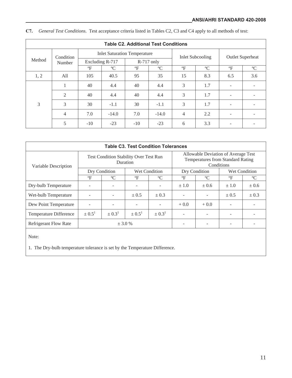| <b>Table C2. Additional Test Conditions</b> |           |                 |             |                                     |             |                         |             |                         |             |  |  |
|---------------------------------------------|-----------|-----------------|-------------|-------------------------------------|-------------|-------------------------|-------------|-------------------------|-------------|--|--|
|                                             | Condition |                 |             | <b>Inlet Saturation Temperature</b> |             | <b>Inlet Subcooling</b> |             | <b>Outlet Superheat</b> |             |  |  |
| Method                                      | Number    | Excluding R-717 |             | $R-717$ only                        |             |                         |             |                         |             |  |  |
|                                             |           | $\mathrm{P}$    | $\rm ^{o}C$ | $\mathrm{P}$                        | $\rm ^{o}C$ | $\mathrm{P}$            | $\rm ^{o}C$ | $\mathrm{P}$            | $\rm ^{o}C$ |  |  |
| 1, 2                                        | All       | 105             | 40.5        | 95                                  | 35          | 15                      | 8.3         | 6.5                     | 3.6         |  |  |
|                                             |           | 40              | 4.4         | 40                                  | 4.4         | 3                       | 1.7         |                         |             |  |  |
|                                             | 2         | 40              | 4.4         | 40                                  | 4.4         | 3                       | 1.7         |                         |             |  |  |
| 3                                           | 3         | 30              | $-1.1$      | 30                                  | $-1.1$      | 3                       | 1.7         |                         |             |  |  |
|                                             | 4         | 7.0             | $-14.0$     | 7.0                                 | $-14.0$     | 4                       | 2.2         |                         |             |  |  |
|                                             | 5         | $-10$           | $-23$       | $-10$                               | $-23$       | 6                       | 3.3         |                         |             |  |  |

|  | C7. General Test Conditions. Test acceptance criteria listed in Tables C2, C3 and C4 apply to all methods of test: |
|--|--------------------------------------------------------------------------------------------------------------------|
|  |                                                                                                                    |

| <b>Table C3. Test Condition Tolerances</b> |               |                          |                                                           |                   |                                                                                        |                          |                      |             |  |  |
|--------------------------------------------|---------------|--------------------------|-----------------------------------------------------------|-------------------|----------------------------------------------------------------------------------------|--------------------------|----------------------|-------------|--|--|
| Variable Description                       |               |                          | <b>Test Condition Stability Over Test Run</b><br>Duration |                   | Allowable Deviation of Average Test<br>Temperatures from Standard Rating<br>Conditions |                          |                      |             |  |  |
|                                            | Dry Condition |                          | Wet Condition                                             |                   | Dry Condition                                                                          |                          | <b>Wet Condition</b> |             |  |  |
|                                            | $\mathrm{P}$  | $\rm ^{o}C$              | $\mathrm{P}$                                              | $\rm ^{o}C$       | $\mathrm{P}$                                                                           | $\rm ^{o}C$              | $\mathrm{P}$         | $\rm ^{o}C$ |  |  |
| Dry-bulb Temperature                       |               | $\overline{\phantom{a}}$ | $\overline{\phantom{a}}$                                  |                   | $\pm 1.0$                                                                              | $\pm 0.6$                | $\pm 1.0$            | $\pm 0.6$   |  |  |
| Wet-bulb Temperature                       |               | $\overline{\phantom{a}}$ | $\pm 0.5$                                                 | $\pm 0.3$         |                                                                                        | $\overline{\phantom{a}}$ | $\pm 0.5$            | $\pm 0.3$   |  |  |
| Dew Point Temperature                      |               |                          | $\overline{\phantom{a}}$                                  |                   | $+0.0$                                                                                 | $+0.0$                   |                      |             |  |  |
| Temperature Difference                     | $\pm 0.5^1$   | $\pm 0.3^{\text{T}}$     | $\pm 0.5^1$                                               | $\pm 0.3^{\circ}$ | ۰                                                                                      | $\overline{\phantom{a}}$ |                      |             |  |  |
| <b>Refrigerant Flow Rate</b>               |               | $\pm$ 3.0 %              |                                                           |                   |                                                                                        | -                        |                      |             |  |  |
| $N_{\alpha\alpha}$                         |               |                          |                                                           |                   |                                                                                        |                          |                      |             |  |  |

Note:

1. The Dry-bulb temperature tolerance is set by the Temperature Difference.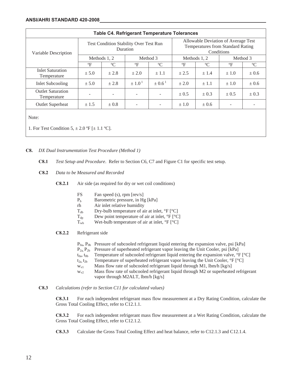| <b>Table C4. Refrigerant Temperature Tolerances</b>             |              |              |                                                    |                        |                                                                                        |             |                          |             |  |  |
|-----------------------------------------------------------------|--------------|--------------|----------------------------------------------------|------------------------|----------------------------------------------------------------------------------------|-------------|--------------------------|-------------|--|--|
| Variable Description                                            |              |              | Test Condition Stability Over Test Run<br>Duration |                        | Allowable Deviation of Average Test<br>Temperatures from Standard Rating<br>Conditions |             |                          |             |  |  |
|                                                                 |              | Methods 1, 2 | Method 3                                           |                        | Methods 1, 2                                                                           |             | Method 3                 |             |  |  |
|                                                                 | $\mathrm{P}$ | $\rm ^{o}C$  | $\mathrm{P}$                                       | $\rm ^{o}C$            | $\mathrm{P}$                                                                           | $\rm ^{o}C$ | $\mathrm{P}$             | $\rm ^{o}C$ |  |  |
| <b>Inlet Saturation</b><br>Temperature                          | ± 5.0        | ± 2.8        | $\pm 2.0$                                          | $\pm 1.1$              | ± 2.5                                                                                  | ± 1.4       | $\pm 1.0$                | $\pm 0.6$   |  |  |
| <b>Inlet Subcooling</b>                                         | ± 5.0        | ± 2.8        | $\pm 1.0^1$                                        | $\pm 0.6^{\mathrm{T}}$ | $\pm 2.0$                                                                              | $\pm 1.1$   | $\pm 1.0$                | $\pm 0.6$   |  |  |
| <b>Outlet Saturation</b><br>Temperature                         |              |              | ٠                                                  |                        | $\pm 0.5$                                                                              | $\pm 0.3$   | $\pm 0.5$                | $\pm 0.3$   |  |  |
| <b>Outlet Superheat</b>                                         | ± 1.5        | $\pm 0.8$    | $\sim$                                             |                        | $\pm 1.0$                                                                              | $\pm 0.6$   | $\overline{\phantom{a}}$ |             |  |  |
| Note:<br>1. For Test Condition $5, \pm 2.0$ °F [ $\pm 1.1$ °C]. |              |              |                                                    |                        |                                                                                        |             |                          |             |  |  |

### **C8.** *DX Dual Instrumentation Test Procedure (Method 1)*

- **C8.1** *Test Setup and Procedure*. Refer to Section C6, C7 and Figure C1 for specific test setup.
- **C8.2** *Data to be Measured and Recorded* 
	- **C8.2.1** Air side (as required for dry or wet coil conditions)
		- FS Fan speed (s), rpm  $[rev/s]$
		- $P<sub>b</sub>$  Barometric pressure, in Hg [kPa]
		- rh Air inlet relative humidity
		- $T_{db}$  Dry-bulb temperature of air at inlet,  ${}^{\circ}F$   ${}^{\circ}C$ ]
		- $T_{dp}$  Dew point temperature of air at inlet,  ${}^{\circ}$ F  $[{}^{\circ}$ C]
		- $T_{\text{wh}}$  Wet-bulb temperature of air at inlet,  ${}^{\circ}F$   ${}^{\circ}C$ ]
	- **C8.2.2** Refrigerant side
		- $P_{0a}$ ,  $P_{0b}$  Pressure of subcooled refrigerant liquid entering the expansion valve, psi [kPa]
		- $P_{2a}$ ,  $P_{2b}$  Pressure of superheated refrigerant vapor leaving the Unit Cooler, psi [kPa]
		- $t_{0a}$ ,  $t_{0b}$  Temperature of subcooled refrigerant liquid entering the expansion valve,  ${}^{\circ}F$   ${}^{\circ}C$ ]
		- $t_{2a}$ ,  $t_{2b}$  Temperature of superheated refrigerant vapor leaving the Unit Cooler, °F [°C]
		- $w_{v1}$  Mass flow rate of subcooled refrigerant liquid through M1, lbm/h [kg/s]
		- $w_{v2}$  Mass flow rate of subcooled refrigerant liquid through M2 or superheated refrigerant vapor through M2ALT, lbm/h [kg/s]

### **C8.3** *Calculations (refer to Section C11 for calculated values)*

**C8.3.1** For each independent refrigerant mass flow measurement at a Dry Rating Condition, calculate the Gross Total Cooling Effect, refer to C12.1.1.

**C8.3.2** For each independent refrigerant mass flow measurement at a Wet Rating Condition, calculate the Gross Total Cooling Effect, refer to C12.1.2.

**C8.3.3** Calculate the Gross Total Cooling Effect and heat balance, refer to C12.1.3 and C12.1.4.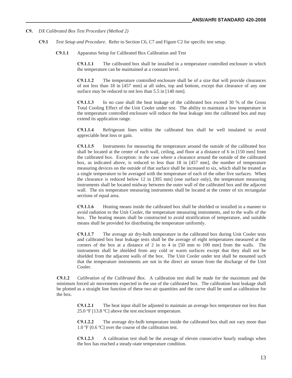- **C9.** *DX Calibrated Box Test Procedure (Method 2)* 
	- **C9.1** *Test Setup and Procedure*. Refer to Section C6, C7 and Figure C2 for specific test setup.
		- **C9.1.1** Apparatus Setup for Calibrated Box Calibration and Test

**C9.1.1.1** The calibrated box shall be installed in a temperature controlled enclosure in which the temperature can be maintained at a constant level.

**C9.1.1.2** The temperature controlled enclosure shall be of a size that will provide clearances of not less than 18 in [457 mm] at all sides, top and bottom, except that clearance of any one surface may be reduced to not less than 5.5 in [140 mm].

**C9.1.1.3** In no case shall the heat leakage of the calibrated box exceed 30 % of the Gross Total Cooling Effect of the Unit Cooler under test. The ability to maintain a low temperature in the temperature controlled enclosure will reduce the heat leakage into the calibrated box and may extend its application range.

**C9.1.1.4** Refrigerant lines within the calibrated box shall be well insulated to avoid appreciable heat loss or gain.

**C9.1.1.5** Instruments for measuring the temperature around the outside of the calibrated box shall be located at the center of each wall, ceiling, and floor at a distance of 6 in [150 mm] from the calibrated box. Exception: in the case where a clearance around the outside of the calibrated box, as indicated above, is reduced to less than 18 in [457 mm], the number of temperature measuring devices on the outside of that surface shall be increased to six, which shall be treated as a single temperature to be averaged with the temperature of each of the other five surfaces. When the clearance is reduced below 12 in [305 mm] (one surface only), the temperature measuring instruments shall be located midway between the outer wall of the calibrated box and the adjacent wall. The six temperature measuring instruments shall be located at the center of six rectangular sections of equal area.

**C9.1.1.6** Heating means inside the calibrated box shall be shielded or installed in a manner to avoid radiation to the Unit Cooler, the temperature measuring instruments, and to the walls of the box. The heating means shall be constructed to avoid stratification of temperature, and suitable means shall be provided for distributing the temperature uniformly.

**C9.1.1.7** The average air dry-bulb temperature in the calibrated box during Unit Cooler tests and calibrated box heat leakage tests shall be the average of eight temperatures measured at the corners of the box at a distance of 2 in to 4 in [50 mm to 100 mm] from the walls. The instruments shall be shielded from any cold or warm surfaces except that they shall not be shielded from the adjacent walls of the box. The Unit Cooler under test shall be mounted such that the temperature instruments are not in the direct air stream from the discharge of the Unit Cooler.

**C9.1.2** *Calibration of the Calibrated Box.* A calibration test shall be made for the maximum and the minimum forced air movements expected in the use of the calibrated box. The calibration heat leakage shall be plotted as a straight line function of these two air quantities and the curve shall be used as calibration for the box.

**C9.1.2.1** The heat input shall be adjusted to maintain an average box temperature not less than 25.0 ºF [13.8 ºC] above the test enclosure temperature.

**C9.1.2.2** The average dry-bulb temperature inside the calibrated box shall not vary more than 1.0 ºF [0.6 ºC] over the course of the calibration test.

**C9.1.2.3** A calibration test shall be the average of eleven consecutive hourly readings when the box has reached a steady-state temperature condition.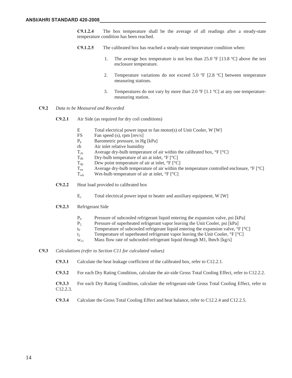**C9.1.2.4** The box temperature shall be the average of all readings after a steady-state temperature condition has been reached.

- **C9.1.2.5** The calibrated box has reached a steady-state temperature condition when:
	- 1. The average box temperature is not less than 25.0 ºF [13.8 ºC] above the test enclosure temperature.
	- 2. Temperature variations do not exceed 5.0 ºF [2.8 ºC] between temperature measuring stations.
	- 3. Temperatures do not vary by more than 2.0  $\mathbb{P}[1.1 \text{ }^{\circ}\text{C}]$  at any one temperaturemeasuring station.
- **C9.2** *Data to be Measured and Recorded*
	- **C9.2.1** Air Side (as required for dry coil conditions)
		- E Total electrical power input to fan motor(s) of Unit Cooler, W [W]
		- FS Fan speed (s), rpm  $[rev/s]$
		- $P<sub>b</sub>$  Barometric pressure, in Hg [kPa]
		- rh Air inlet relative humidity
		- $T_{cb}$  Average dry-bulb temperature of air within the calibrated box,  ${}^{\circ}F$  [ ${}^{\circ}C$ ]
		- $T_{db}$  Dry-bulb temperature of air at inlet,  ${}^{\circ}F$   ${}^{\circ}C$ ]
		- $T_{dp}$  Dew point temperature of air at inlet,  ${}^{\circ}F$  [ ${}^{\circ}C$ ]
		- $T_{\text{en}}$  Average dry-bulb temperature of air within the temperature controlled enclosure,  ${}^{\circ}F$   ${}^{\circ}C$ ]
		- $T_{\text{wb}}$  Wet-bulb temperature of air at inlet,  ${}^{\circ}F$   $[{}^{\circ}C]$
	- **C9.2.2** Heat load provided to calibrated box
		- $E_c$  Total electrical power input to heater and auxiliary equipment, W [W]
	- **C9.2.3** Refrigerant Side
		- $P_0$  Pressure of subcooled refrigerant liquid entering the expansion valve, psi [kPa] Pressure of superheated refrigerant vapor leaving the Unit Cooler, psi [kPa]
		- Pressure of superheated refrigerant vapor leaving the Unit Cooler, psi [kPa]
		- $t_0$  Temperature of subcooled refrigerant liquid entering the expansion valve,  ${}^{\circ}F$   ${}^{\circ}C$ ]
		- t<sub>2</sub> Temperature of superheated refrigerant vapor leaving the Unit Cooler,  ${}^{\circ}F$  [ ${}^{\circ}C$ ]<br>w<sub>vi</sub> Mass flow rate of subcooled refrigerant liquid through M1, lbm/h [kg/s]
		- Mass flow rate of subcooled refrigerant liquid through M1, lbm/h  $\lceil \text{kg/s} \rceil$
- **C9.3** *Calculations (refer to Section C11 for calculated values)* 
	- **C9.3.1** Calculate the heat leakage coefficient of the calibrated box, refer to C12.2.1.
	- **C9.3.2** For each Dry Rating Condition, calculate the air-side Gross Total Cooling Effect, refer to C12.2.2.
	- **C9.3.3** For each Dry Rating Condition, calculate the refrigerant-side Gross Total Cooling Effect, refer to C12.2.3.
	- **C9.3.4** Calculate the Gross Total Cooling Effect and heat balance, refer to C12.2.4 and C12.2.5.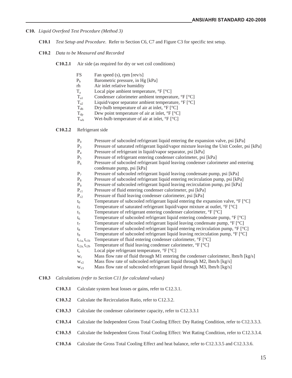- **C10.** *Liquid Overfeed Test Procedure (Method 3)* 
	- **C10.1** *Test Setup and Procedure*. Refer to Section C6, C7 and Figure C3 for specific test setup.
	- **C10.2** *Data to be Measured and Recorded*
		- **C10.2.1** Air side (as required for dry or wet coil conditions)
			- FS Fan speed (s), rpm [rev/s]
			- $P<sub>b</sub>$  Barometric pressure, in Hg [kPa]
			- rh Air inlet relative humidity
			- $T_a$  Local pipe ambient temperature, °F [°C]<br>  $T_{a1}$  Condenser calorimeter ambient temperat
			- $T_{a1}$  Condenser calorimeter ambient temperature, °F [°C]<br>  $T_{a2}$  Liquid/vapor separator ambient temperature, °F [°C]
			- Liquid/vapor separator ambient temperature,  ${}^{\circ}$ F [ ${}^{\circ}$ C]
			- $T_{db}$  Dry-bulb temperature of air at inlet, °F [°C]<br>  $T_{dn}$  Dew point temperature of air at inlet, °F [°C]
			- Dew point temperature of air at inlet,  ${}^{\circ}F$   ${}^{\circ}C$ ]
			- $T_{\text{wb}}$  Wet-bulb temperature of air at inlet,  ${}^{\circ}F$   ${}^{\circ}C$

### **C10.2.2** Refrigerant side

- $P_0$  Pressure of subcooled refrigerant liquid entering the expansion valve, psi [kPa]
- P3 Pressure of saturated refrigerant liquid/vapor mixture leaving the Unit Cooler, psi [kPa]
- P4 Pressure of refrigerant in liquid/vapor separator, psi [kPa]
- $P_5$  Pressure of refrigerant entering condenser calorimeter, psi [kPa]<br> $P_6$  Pressure of subcooled refrigerant liquid leaving condenser calori
- Pressure of subcooled refrigerant liquid leaving condenser calorimeter and entering condensate pump, psi [kPa]
- $P_7$  Pressure of subcooled refrigerant liquid leaving condensate pump, psi [kPa]
- P<sub>8</sub> Pressure of subcooled refrigerant liquid entering recirculation pump, psi [kPa] P<sub>0</sub> Pressure of subcooled refrigerant liquid leaving recirculation pump, psi [kPa]
- Pressure of subcooled refrigerant liquid leaving recirculation pump, psi [kPa]
- P<sub>c1</sub> Pressure of fluid entering condenser calorimeter, psi [kPa]
- Pc2 Pressure of fluid leaving condenser calorimeter, psi [kPa]
- $t_0$  Temperature of subcooled refrigerant liquid entering the expansion valve,  ${}^{\circ}F$  [ ${}^{\circ}C$ ]
- $t_3$  Temperature of saturated refrigerant liquid/vapor mixture at outlet,  ${}^{\circ}F$   ${}^{\circ}C$ ]
- $t_5$  Temperature of refrigerant entering condenser calorimeter,  ${}^{\circ}$ F  $[{}^{\circ}$ C]
- $t_6$  Temperature of subcooled refrigerant liquid entering condensate pump,  $\rm{P}$  [ $\rm{C}$ ]
- $t_7$  Temperature of subcooled refrigerant liquid leaving condensate pump,  ${}^{\circ}F$   ${}^{\circ}C$ ]
- $t_8$  Temperature of subcooled refrigerant liquid entering recirculation pump,  $\mathrm{P}F$  [ $\mathrm{C}$ ]
- t<sub>9</sub> Temperature of subcooled refrigerant liquid leaving recirculation pump,  ${}^{\circ}F$   $[{}^{\circ}C]$
- $t_{c1a}$ ,  $t_{c1b}$  Temperature of fluid entering condenser calorimeter,  ${}^{\circ}F$  [ ${}^{\circ}C$ ]
- $t_{c2a}$ ,  $t_{c2b}$  Temperature of fluid leaving condenser calorimeter,  ${}^{\circ}$ F [ ${}^{\circ}$ C]
- $t_s$  Local pipe refrigerant temperature,  ${}^{\circ}F$   ${}^{\circ}C$ ]
- $w_c$  Mass flow rate of fluid through M1 entering the condenser calorimeter, lbm/h [kg/s]
- $w_{v2}$  Mass flow rate of subcooled refrigerant liquid through M2, lbm/h [kg/s]
- $w_{v3}$  Mass flow rate of subcooled refrigerant liquid through M3, lbm/h [kg/s]
- **C10.3** *Calculations (refer to Section C11 for calculated values)* 
	- **C10.3.1** Calculate system heat losses or gains, refer to C12.3.1.
	- **C10.3.2** Calculate the Recirculation Ratio, refer to C12.3.2.
	- **C10.3.3** Calculate the condenser calorimeter capacity, refer to C12.3.3.1
	- **C10.3.4** Calculate the Independent Gross Total Cooling Effect: Dry Rating Condition, refer to C12.3.3.3.
	- **C10.3.5** Calculate the Independent Gross Total Cooling Effect: Wet Rating Condition, refer to C12.3.3.4.
	- **C10.3.6** Calculate the Gross Total Cooling Effect and heat balance, refer to C12.3.3.5 and C12.3.3.6.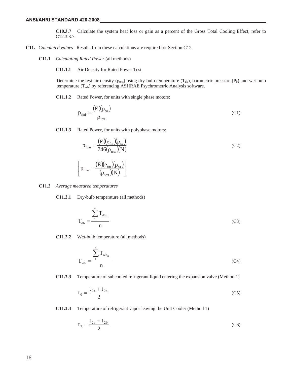**C10.3.7** Calculate the system heat loss or gain as a percent of the Gross Total Cooling Effect, refer to C12.3.3.7.

- **C11.** *Calculated values*. Results from these calculations are required for Section C12.
	- **C11.1** *Calculating Rated Power* (all methods)

**C11.1.1** Air Density for Rated Power Test

Determine the test air density ( $\rho_{\text{test}}$ ) using dry-bulb temperature ( $T_{db}$ ), barometric pressure ( $P_b$ ) and wet-bulb temperature  $(T_{wb})$  by referencing ASHRAE Psychrometric Analysis software.

**C11.1.2** Rated Power, for units with single phase motors:

$$
p_{\text{fmi}} = \frac{\left(E\right)\left(\rho_{\text{sa}}\right)}{\rho_{\text{test}}}
$$
 (C1)

**C11.1.3** Rated Power, for units with polyphase motors:

$$
p_{\text{fmo}} = \frac{(E)(e_{\text{fm}})(\rho_{\text{sa}})}{746(\rho_{\text{test}})(N)}
$$
(C2)

$$
\left[p_{\mathrm{fmo}} = \frac{(E(e_{\mathrm{fm}})(\rho_{\mathrm{sa}})}{(\rho_{\mathrm{test}})(N)}\right]
$$

- **C11.2** *Average measured temperatures*
	- **C11.2.1** Dry-bulb temperature (all methods)

$$
T_{db} = \frac{\sum_{1}^{n} T_{db_n}}{n}
$$
 (C3)

**C11.2.2** Wet-bulb temperature (all methods)

$$
T_{wb} = \frac{\sum_{1}^{n} T_{wb_n}}{n}
$$
 (C4)

**C11.2.3** Temperature of subcooled refrigerant liquid entering the expansion valve (Method 1)

$$
t_0 = \frac{t_{0a} + t_{0b}}{2}
$$
 (C5)

**C11.2.4** Temperature of refrigerant vapor leaving the Unit Cooler (Method 1)

$$
t_2 = \frac{t_{2a} + t_{2b}}{2} \tag{C6}
$$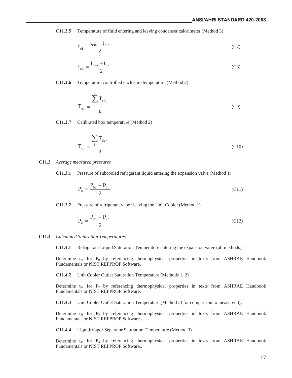**C11.2.5** Temperature of fluid entering and leaving condenser calorimeter (Method 3)

$$
t_{cl} = \frac{t_{cla} + t_{clb}}{2}
$$
 (C7)

$$
t_{c2} = \frac{t_{c2a} + t_{c2b}}{2}
$$
 (C8)

**C11.2.6** Temperature controlled enclosure temperature (Method 2)

$$
T_{en} = \frac{\sum_{1}^{n} T_{en_n}}{n}
$$
 (C9)

**C11.2.7** Calibrated box temperature (Method 2)

$$
T_{cb} = \frac{\sum_{1}^{n} T_{cbn}}{n}
$$
 (C10)

**C11.3** *Average measured pressures*

**C11.3.1** Pressure of subcooled refrigerant liquid entering the expansion valve (Method 1)

$$
P_0 = \frac{P_{0a} + P_{0b}}{2} \tag{C11}
$$

**C11.3.2** Pressure of refrigerant vapor leaving the Unit Cooler (Method 1)

$$
P_2 = \frac{P_{2a} + P_{2b}}{2} \tag{C12}
$$

#### **C11.4** *Calculated Saturation Temperatures*

**C11.4.1** Refrigerant Liquid Saturation Temperature entering the expansion valve (all methods)

Determine  $t_{0s}$  for  $P_0$  by referencing thermophysical properties in texts from ASHRAE Handbook Fundamentals or NIST REFPROP Software.

**C11.4.2** Unit Cooler Outlet Saturation Temperature (Methods 1, 2)

Determine  $t_{2s}$  for  $P_2$  by referencing thermophysical properties in texts from ASHRAE Handbook Fundamentals or NIST REFPROP Software.

**C11.4.3** Unit Cooler Outlet Saturation Temperature (Method 3) for comparison to measured t<sub>3</sub>.

Determine  $t_{3s}$  for  $P_3$  by referencing thermophysical properties in texts from ASHRAE Handbook Fundamentals or NIST REFPROP Software..

**C11.4.4** Liquid/Vapor Separator Saturation Temperature (Method 3)

Determine  $t_{4s}$  for  $P_4$  by referencing thermophysical properties in texts from ASHRAE Handbook Fundamentals or NIST REFPROP Software..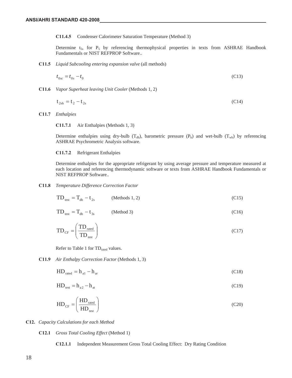**C11.4.5** Condenser Calorimeter Saturation Temperature (Method 3)

Determine  $t_{5s}$  for  $P_5$  by referencing thermophysical properties in texts from ASHRAE Handbook Fundamentals or NIST REFPROP Software..

**C11.5** *Liquid Subcooling entering expansion valve* (all methods)

$$
t_{0sc} = t_{0s} - t_0 \tag{C13}
$$

**C11.6** *Vapor Superheat leaving Unit Cooler* (Methods 1, 2)

$$
t_{2sh} = t_2 - t_{2s}
$$
 (C14)

**C11.7** *Enthalpies*

**C11.7.1** Air Enthalpies (Methods 1, 3)

Determine enthalpies using dry-bulb  $(T_{db})$ , barometric pressure  $(P_b)$  and wet-bulb  $(T_{wb})$  by referencing ASHRAE Psychrometric Analysis software.

**C11.7.2** Refrigerant Enthalpies

Determine enthalpies for the appropriate refrigerant by using average pressure and temperature measured at each location and referencing thermodynamic software or texts from ASHRAE Handbook Fundamentals or NIST REFPROP Software..

**C11.8** *Temperature Difference Correction Factor*

$$
TD_{\text{test}} = T_{\text{db}} - t_{2\text{s}} \qquad (\text{Methods 1, 2}) \tag{C15}
$$

$$
TD_{\text{test}} = T_{\text{db}} - t_{\text{3s}} \tag{C16}
$$

$$
TD_{CF} = \left(\frac{TD_{\text{rated}}}{TD_{\text{test}}}\right) \tag{C17}
$$

Refer to Table 1 for TD<sub>rated</sub> values.

**C11.9** *Air Enthalpy Correction Factor* (Methods 1, 3)

$$
\mathrm{HD}_{\mathrm{rated}} = h_{\mathrm{al}} - h_{\mathrm{ar}} \tag{C18}
$$

$$
\mathrm{HD}_{\mathrm{test}} = \mathrm{h}_{\mathrm{a2}} - \mathrm{h}_{\mathrm{at}} \tag{C19}
$$

$$
HD_{CF} = \left(\frac{HD_{\text{rated}}}{HD_{\text{test}}}\right) \tag{C20}
$$

#### **C12.** *Capacity Calculations for each Method*

**C12.1** *Gross Total Cooling Effect* (Method 1)

### **C12.1.1** Independent Measurement Gross Total Cooling Effect: Dry Rating Condition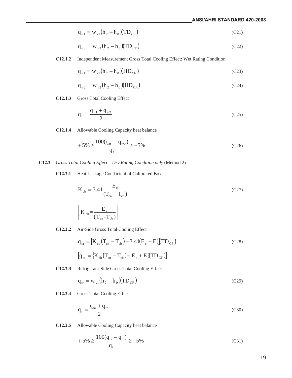$$
q_{\rm tr1} = w_{\rm v1} (h_2 - h_0) (TD_{\rm CF})
$$
 (C21)

$$
q_{\rm tr2} = w_{\rm v2} (h_2 - h_0) (TD_{\rm CF})
$$
 (C22)

**C12.1.2** Independent Measurement Gross Total Cooling Effect: Wet Rating Condition

$$
q_{\rm tr1} = w_{\rm v1} (h_2 - h_0) (HD_{\rm CF})
$$
 (C23)

$$
q_{\rm tr2} = w_{\rm v2} (h_2 - h_0) (HD_{\rm CF})
$$
 (C24)

**C12.1.3** Gross Total Cooling Effect

$$
q_{t} = \frac{q_{t1} + q_{t2}}{2}
$$
 (C25)

**C12.1.4** Allowable Cooling Capacity heat balance

$$
+5\% \ge \frac{100(q_{\text{tr1}} - q_{\text{tr2}})}{q_{\text{t}}} \ge -5\%
$$
 (C26)

- **C12.2** *Gross Total Cooling Effect Dry Rating Condition only* (Method 2)
	- **C12.2.1** Heat Leakage Coefficient of Calibrated Box

$$
K_{cb} = 3.41 \frac{E_c}{(T_{en} - T_{cb})}
$$
\n(C27)\n
$$
\left[K_{cb} = \frac{E_c}{(T_{en} - T_{cb})}\right]
$$

**C12.2.2** Air-Side Gross Total Cooling Effect

$$
q_{ta} = [K_{cb}(T_{en} - T_{cb}) + 3.41(E_c + E)](TD_{CF})
$$
\n(C28)\n
$$
[q_{ta} = \{K_{cb}(T_{en} - T_{cb}) + E_c + E\}(TD_{CF})]
$$

**C12.2.3** Refrigerant-Side Gross Total Cooling Effect

$$
\mathbf{q}_{\rm tr} = \mathbf{w}_{\rm vl} \left( \mathbf{h}_2 - \mathbf{h}_0 \right) \left( \mathbf{T} \mathbf{D}_{\rm CF} \right) \tag{C29}
$$

**C12.2.4** Gross Total Cooling Effect

$$
q_t = \frac{q_{ta} + q_{tr}}{2} \tag{C30}
$$

**C12.2.5** Allowable Cooling Capacity heat balance

$$
+5\% \ge \frac{100(q_{ta} - q_{tr})}{q_t} \ge -5\%
$$
 (C31)

19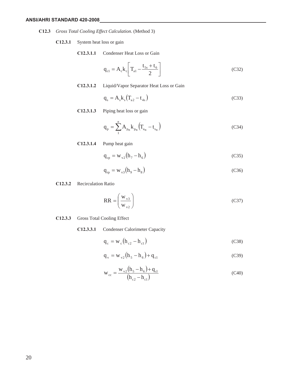- **C12.3** *Gross Total Cooling Effect Calculation*. (Method 3)
	- **C12.3.1** System heat loss or gain
		- **C12.3.1.1** Condenser Heat Loss or Gain

$$
q_{c1} = A_c k_c \left[ T_{a1} - \frac{t_{5s} + t_6}{2} \right]
$$
 (C32)

**C12.3.1.2** Liquid/Vapor Separator Heat Loss or Gain

$$
q_s = A_s k_s (T_{a2} - t_{4s})
$$
 (C33)

**C12.3.1.3** Piping heat loss or gain

$$
q_p = \sum_{1}^{n} A_{p_n} k_{p_n} (T_{a_n} - t_{s_n})
$$
 (C34)

**C12.3.1.4** Pump heat gain

$$
\mathbf{q}_{cp} = \mathbf{w}_{v2} \big( \mathbf{h}_7 - \mathbf{h}_6 \big) \tag{C35}
$$

$$
q_{rp} = w_{v3}(h_9 - h_8)
$$
 (C36)

### **C12.3.2** Recirculation Ratio

$$
RR = \left(\frac{W_{v3}}{W_{v2}}\right) \tag{C37}
$$

### **C12.3.3** Gross Total Cooling Effect

**C12.3.3.1** Condenser Calorimeter Capacity

$$
q_c = w_c (h_{c2} - h_{c1})
$$
 (C38)

$$
q_{v} = w_{v2}(h_{5} - h_{6}) + q_{c1}
$$
 (C39)

$$
w_{cc} = \frac{w_{v2}(h_5 - h_6) + q_{cl}}{(h_{c2} - h_{cl})}
$$
 (C40)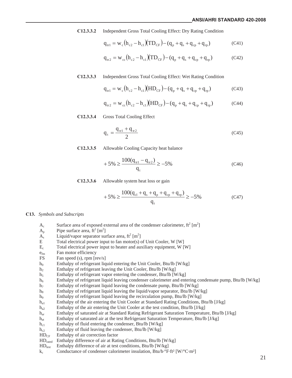**C12.3.3.2** Independent Gross Total Cooling Effect: Dry Rating Condition

$$
q_{\text{tr1}} = w_c (h_{c2} - h_{c1}) (TD_{CF}) - (q_p + q_s + q_{cp} + q_p)
$$
 (C41)

$$
q_{\rm tr2} = w_{\rm cc} (h_{\rm c2} - h_{\rm cl}) (TD_{\rm CF}) - (q_{\rm p} + q_{\rm s} + q_{\rm cp} + q_{\rm rp})
$$
 (C42)

#### **C12.3.3.3** Independent Gross Total Cooling Effect: Wet Rating Condition

$$
q_{\rm tr1} = w_{\rm c} (h_{\rm c2} - h_{\rm c1}) (HD_{\rm CF}) - (q_{\rm p} + q_{\rm s} + q_{\rm cp} + q_{\rm rp})
$$
 (C43)

$$
q_{\rm tr2} = w_{\rm cc} (h_{\rm c2} - h_{\rm cl}) (HD_{\rm CF}) - (q_{\rm p} + q_{\rm s} + q_{\rm cp} + q_{\rm rp})
$$
 (C44)

**C12.3.3.4** Gross Total Cooling Effect

$$
q_{t} = \frac{q_{t1} + q_{t2}}{2}
$$
 (C45)

**C12.3.3.5** Allowable Cooling Capacity heat balance

$$
+5\% \ge \frac{100(q_{\text{tr1}} - q_{\text{tr2}})}{q_{\text{t}}} \ge -5\%
$$
 (C46)

**C12.3.3.6** Allowable system heat loss or gain

$$
+5\% \ge \frac{100(q_{cl} + q_s + q_p + q_{cp} + q_{rp})}{q_t} \ge -5\%
$$
 (C47)

#### **C13.** *Symbols and Subscripts*

- A<sub>c</sub> Surface area of exposed external area of the condenser calorimeter,  $\text{ft}^2 \text{ [m}^2\text{]}$
- $A_p$  Pipe surface area,  $ft^2 [m^2]$
- $A_s$  Liquid/vapor separator surface area, ft<sup>2</sup> [m<sup>2</sup>]
- E Total electrical power input to fan motor(s) of Unit Cooler, W [W]
- $E_c$  Total electrical power input to heater and auxiliary equipment, W [W]
- e<sub>fm</sub> Fan motor efficiency
- FS Fan speed (s), rpm [rev/s]
- $h_0$  Enthalpy of refrigerant liquid entering the Unit Cooler, Btu/lb [W/kg]
- h<sub>2</sub> Enthalpy of refrigerant leaving the Unit Cooler, Btu/lb  $[W/kg]$
- h<sub>5</sub> Enthalpy of refrigerant vapor entering the condenser, Btu/lb  $[W/kg]$
- $h<sub>6</sub>$  Enthalpy of refrigerant liquid leaving condenser calorimeter and entering condensate pump, Btu/lb [W/kg]
- $h_7$  Enthalpy of refrigerant liquid leaving the condensate pump, Btu/lb [W/kg]
- $h_8$  Enthalpy of refrigerant liquid leaving the liquid/vapor separator, Btu/lb [W/kg]
- h<sub>9</sub> Enthalpy of refrigerant liquid leaving the recirculation pump, Btu/lb [W/kg]
- h<sub>a1</sub> Enthalpy of the air entering the Unit Cooler at Standard Rating Conditions, Btu/lb [J/kg]
- $h_{a2}$  Enthalpy of the air entering the Unit Cooler at the test condition, Btu/lb [J/kg]
- har Enthalpy of saturated air at Standard Rating Refrigerant Saturation Temperature, Btu/lb [J/kg]
- hat Enthalpy of saturated air at the test Refrigerant Saturation Temperature, Btu/lb [J/kg]
- $h_{c1}$  Enthalpy of fluid entering the condenser, Btu/lb [W/kg]
- $h_{c2}$  Enthalpy of fluid leaving the condenser, Btu/lb [W/kg]
- $HD<sub>CF</sub>$  Enthalpy of air correction factor
- HDrated Enthalpy difference of air at Rating Conditions, Btu/lb [W/kg]
- $HD<sub>test</sub>$  Enthalpy difference of air at test conditions, Btu/lb [W/kg]
- k<sub>c</sub> Conductance of condenser calorimeter insulation, Btu/h·°F·ft<sup>2</sup> [W/°C·m<sup>2</sup>]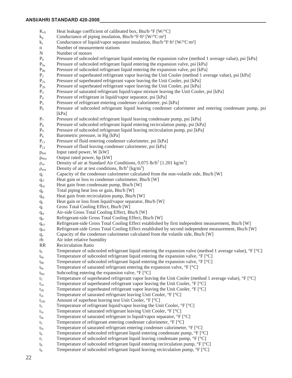- $K_{cb}$  Heat leakage coefficient of calibrated box, Btu/h·°F [W/°C]
- $k_p$  Conductance of piping insulation, Btu/h·°F·ft<sup>2</sup> [W/°C·m<sup>2</sup>]
- $k_s$  Conductance of liquid/vapor separator insulation, Btu/h·°F·ft<sup>2</sup> [W/°C·m<sup>2</sup>]
- n Number of measurement stations
- N Number of motors
- P0 Pressure of subcooled refrigerant liquid entering the expansion valve (method 1 average value), psi [kPa]
- $P_{0a}$  Pressure of subcooled refrigerant liquid entering the expansion valve, psi [kPa]
- P<sub>0b</sub> Pressure of subcooled refrigerant liquid entering the expansion valve, psi [kPa]
- P2 Pressure of superheated refrigerant vapor leaving the Unit Cooler (method 1 average value), psi [kPa]
- P<sub>2a</sub> Pressure of superheated refrigerant vapor leaving the Unit Cooler, psi [kPa]
- $P_{2b}$  Pressure of superheated refrigerant vapor leaving the Unit Cooler, psi [kPa]
- P3 Pressure of saturated refrigerant liquid/vapor mixture leaving the Unit Cooler, psi [kPa]
- P<sub>4</sub> Pressure of refrigerant in liquid/vapor separator, psi [kPa]<br>P<sub>5</sub> Pressure of refrigerant entering condenser calorimeter, psi
- Pressure of refrigerant entering condenser calorimeter, psi [kPa]
- P6 Pressure of subcooled refrigerant liquid leaving condenser calorimeter and entering condensate pump, psi [kPa]
- $P_7$  Pressure of subcooled refrigerant liquid leaving condensate pump, psi [kPa]
- P8 Pressure of subcooled refrigerant liquid entering recirculation pump, psi [kPa]
- P9 Pressure of subcooled refrigerant liquid leaving recirculation pump, psi [kPa]
- $P<sub>b</sub>$  Barometric pressure, in Hg [kPa]
- P<sub>c1</sub> Pressure of fluid entering condenser calorimeter, psi [kPa]
- P<sub>c2</sub> Pressure of fluid leaving condenser calorimeter, psi [kPa]
- p<sub>fmi</sub> Input rated power, W [kW]
- $p_{\text{fmo}}$  Output rated power, hp [kW]
- $\rho_{sa}$  Density of air at Standard Air Conditions, 0.075 lb/ft<sup>3</sup> [1.201 kg/m<sup>3</sup>]
- $\rho_{\text{test}}$  Density of air at test conditions, lb/ft<sup>3</sup> [kg/m<sup>3</sup>]
- $q_c$  Capacity of the condenser calorimeter calculated from the non-volatile side, Btu/h [W]
- q<sub>cl</sub> Heat gain or loss to condenser calorimeter, Btu/h [W]
- $q_{cp}$  Heat gain from condensate pump, Btu/h [W]
- qp Total piping heat loss or gain, Btu/h [W]
- $q_{\rm ro}$  Heat gain from recirculation pump, Btu/h [W]
- qs Heat gain or loss from liquid/vapor separator, Btu/h [W]
- qt Gross Total Cooling Effect, Btu/h [W]
- $q_{ta}$  Air-side Gross Total Cooling Effect, Btu/h [W]
- $q_{tr}$  Refrigerant-side Gross Total Cooling Effect, Btu/h [W]
- $q_{tr1}$  Refrigerant-side Gross Total Cooling Effect established by first independent measurement, Btu/h [W]
- $q_{tr2}$  Refrigerant-side Gross Total Cooling Effect established by second independent measurement, Btu/h [W]
- $q_v$  Capacity of the condenser calorimeter calculated from the volatile side, Btu/h [W]
- rh Air inlet relative humidity
- RR Recirculation Ratio
- $t_0$  Temperature of subcooled refrigerant liquid entering the expansion valve (method 1 average value),  $\degree$ F  $\degree$ C]
- $t_{0a}$  Temperature of subcooled refrigerant liquid entering the expansion valve,  ${}^{\circ}F$  [ ${}^{\circ}C$ ]
- $t_{0b}$  Temperature of subcooled refrigerant liquid entering the expansion valve,  ${}^{\circ}F$   ${}^{\circ}C$ ]
- $t_{0s}$  Temperature of saturated refrigerant entering the expansion valve,  ${}^{\circ}$ F [ ${}^{\circ}$ C]
- $t_{0sc}$  Subcooling entering the expansion valve,  ${}^{\circ}$ F [ ${}^{\circ}$ C]
- $t_2$  Temperature of superheated refrigerant vapor leaving the Unit Cooler (method 1 average value),  $\degree$ F  $\degree$ C]
- $t_{2a}$  Temperature of superheated refrigerant vapor leaving the Unit Cooler,  ${}^{\circ}F$  [ ${}^{\circ}C$ ]
- $t_{2b}$  Temperature of superheated refrigerant vapor leaving the Unit Cooler,  ${}^{\circ}$ F  $[{}^{\circ}$ C]
- $t_{2s}$  Temperature of saturated refrigerant leaving Unit Cooler,  ${}^{\circ}$ F  ${}^{\circ}$ C]
- $t_{2sh}$  Amount of superheat leaving test Unit Cooler,  ${}^{\circ}$ F  $[{}^{\circ}$ C]
- $t_3$  Temperature of refrigerant liquid/vapor leaving the Unit Cooler,  ${}^{\circ}F$   ${}^{\circ}C$ ]
- $t_{3s}$  Temperature of saturated refrigerant leaving Unit Cooler,  ${}^{\circ}F$   ${}^{\circ}C$ ]
- $t_{4s}$  Temperature of saturated refrigerant in liquid/vapor separator,  ${}^{\circ}$ F  $[{}^{\circ}$ C]
- $t_5$  Temperature of refrigerant entering condenser calorimeter,  ${}^{\circ}$ F  $[{}^{\circ}$ C]
- t<sub>5s</sub> Temperature of saturated refrigerant entering condenser calorimeter, °F [°C]
- $t_6$  Temperature of subcooled refrigerant liquid entering condensate pump,  $\rm{°F}$  [ $\rm{°C}$ ]
- $t_7$  Temperature of subcooled refrigerant liquid leaving condensate pump,  ${}^{\circ}F$  [ ${}^{\circ}C$ ]
- $t_8$  Temperature of subcooled refrigerant liquid entering recirculation pump,  $\mathrm{P}[\mathrm{C}]$
- $t_9$  Temperature of subcooled refrigerant liquid leaving recirculation pump,  ${}^{\circ}F$   ${}^{\circ}C$ ]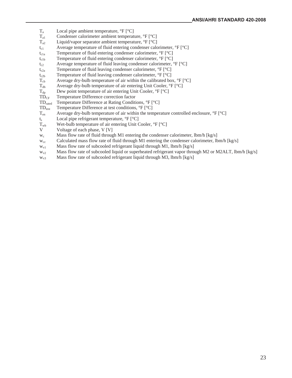- $T_a$  Local pipe ambient temperature,  ${}^{\circ}F$  [ ${}^{\circ}C$ ]
- $T_{\text{al}}$  Condenser calorimeter ambient temperature,  ${}^{\circ}$ F  $[{}^{\circ}$ C]
- $T_{a2}$  Liquid/vapor separator ambient temperature,  ${}^{\circ}F$  [ ${}^{\circ}C$ ]
- $t_{c1}$  Average temperature of fluid entering condenser calorimeter,  ${}^{\circ}$ F [ ${}^{\circ}$ C]
- $t_{c1a}$  Temperature of fluid entering condenser calorimeter,  ${}^{\circ}$ F  $[{}^{\circ}$ C]
- $t_{\text{clb}}$  Temperature of fluid entering condenser calorimeter,  ${}^{\circ}$ F  $[{}^{\circ}$ C]
- $t_{c2}$  Average temperature of fluid leaving condenser calorimeter,  ${}^{\circ}F$   ${}^{\circ}C$ ]
- $t_{c2a}$  Temperature of fluid leaving condenser calorimeter,  ${}^{\circ}$ F [ ${}^{\circ}$ C]
- $t_{c2b}$  Temperature of fluid leaving condenser calorimeter,  ${}^{\circ}$ F [ ${}^{\circ}$ C]
- $T_{cb}$  Average dry-bulb temperature of air within the calibrated box,  ${}^{\circ}F$  [ ${}^{\circ}C$ ]
- $T_{db}$  Average dry-bulb temperature of air entering Unit Cooler,  ${}^{\circ}F$  [ ${}^{\circ}C$ ]
- $T_{dp}$  Dew point temperature of air entering Unit Cooler,  ${}^{\circ}$ F [ ${}^{\circ}$ C]
- TD<sub>CF</sub> Temperature Difference correction factor
- TD<sub>rated</sub> Temperature Difference at Rating Conditions, °F [°C]
- $TD_{test}$  Temperature Difference at test conditions,  ${}^{\circ}F$  [ ${}^{\circ}C$ ]
- $T_{en}$  Average dry-bulb temperature of air within the temperature controlled enclosure,  ${}^{\circ}F$  [ ${}^{\circ}C$ ]
- $t_s$  Local pipe refrigerant temperature,  ${}^{\circ}$ F  $[{}^{\circ}$ C]
- $T_{wb}$  Wet-bulb temperature of air entering Unit Cooler,  ${}^{\circ}F$  [ ${}^{\circ}C$ ]
- V Voltage of each phase, V [V]
- $w_c$  Mass flow rate of fluid through M1 entering the condenser calorimeter, lbm/h [kg/s]
- $w_{cc}$  Calculated mass flow rate of fluid through M1 entering the condenser calorimeter, lbm/h [kg/s]
- $w_{v1}$  Mass flow rate of subcooled refrigerant liquid through M1, lbm/h [kg/s]
- w<sub>v2</sub> Mass flow rate of subcooled liquid or superheated refrigerant vapor through M2 or M2ALT, lbm/h [kg/s]
- $w_{v3}$  Mass flow rate of subcooled refrigerant liquid through M3, lbm/h [kg/s]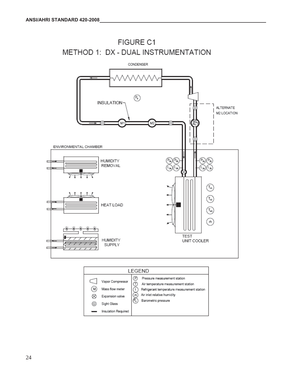



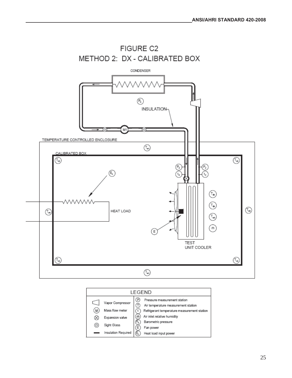